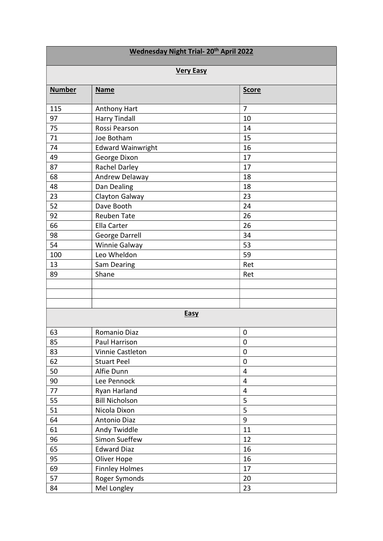| <b>Wednesday Night Trial- 20th April 2022</b> |                          |                |  |
|-----------------------------------------------|--------------------------|----------------|--|
| <b>Very Easy</b>                              |                          |                |  |
| <b>Number</b>                                 | <b>Name</b>              | <b>Score</b>   |  |
| 115                                           | Anthony Hart             | 7              |  |
| 97                                            | <b>Harry Tindall</b>     | 10             |  |
| 75                                            | Rossi Pearson            | 14             |  |
| 71                                            | Joe Botham               | 15             |  |
| 74                                            | <b>Edward Wainwright</b> | 16             |  |
| 49                                            | George Dixon             | 17             |  |
| 87                                            | Rachel Darley            | 17             |  |
| 68                                            | Andrew Delaway           | 18             |  |
| 48                                            | Dan Dealing              | 18             |  |
| 23                                            | Clayton Galway           | 23             |  |
| 52                                            | Dave Booth               | 24             |  |
| 92                                            | <b>Reuben Tate</b>       | 26             |  |
| 66                                            | Ella Carter              | 26             |  |
| 98                                            | George Darrell           | 34             |  |
| 54                                            | Winnie Galway            | 53             |  |
| 100                                           | Leo Wheldon              | 59             |  |
| 13                                            | Sam Dearing              | Ret            |  |
| 89                                            | Shane                    | Ret            |  |
|                                               |                          |                |  |
|                                               |                          |                |  |
|                                               |                          |                |  |
| <b>Easy</b>                                   |                          |                |  |
| 63                                            | Romanio Diaz             | $\mathbf 0$    |  |
| 85                                            | Paul Harrison            | $\mathbf 0$    |  |
| 83                                            | Vinnie Castleton         | $\mathbf 0$    |  |
| 62                                            | <b>Stuart Peel</b>       | $\mathbf 0$    |  |
| 50                                            | Alfie Dunn               | $\overline{4}$ |  |
| 90                                            | Lee Pennock              | $\overline{4}$ |  |
| 77                                            | Ryan Harland             | $\overline{4}$ |  |
| 55                                            | <b>Bill Nicholson</b>    | 5              |  |
| 51                                            | Nicola Dixon             | 5              |  |
| 64                                            | Antonio Diaz             | 9              |  |
| 61                                            | Andy Twiddle             | 11             |  |
| 96                                            | Simon Sueffew            | 12             |  |
| 65                                            | <b>Edward Diaz</b>       | 16             |  |
| 95                                            | Oliver Hope              | 16             |  |
| 69                                            | <b>Finnley Holmes</b>    | 17             |  |
| 57                                            | Roger Symonds            | 20             |  |
| 84                                            | Mel Longley              | 23             |  |